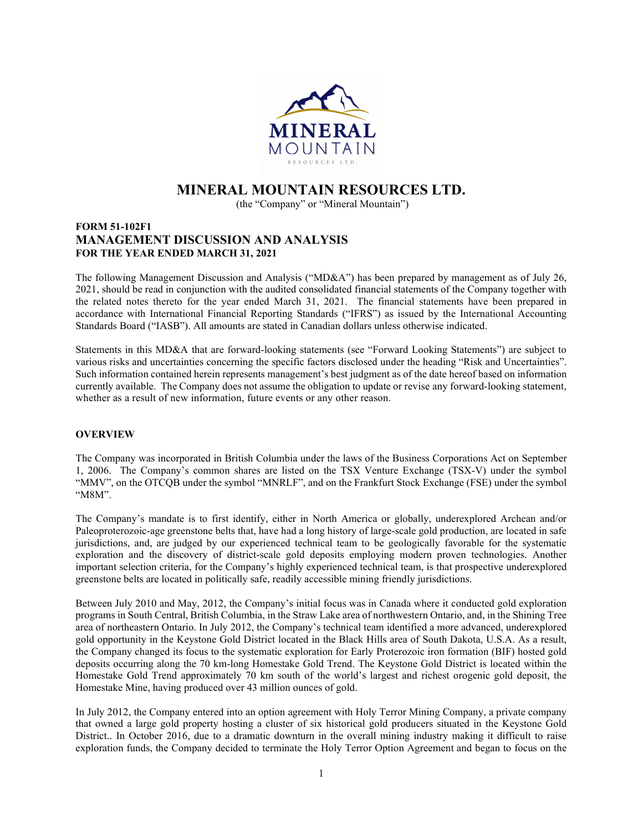

# MINERAL MOUNTAIN RESOURCES LTD.

(the "Company" or "Mineral Mountain")

# FORM 51-102F1 MANAGEMENT DISCUSSION AND ANALYSIS FOR THE YEAR ENDED MARCH 31, 2021

The following Management Discussion and Analysis ("MD&A") has been prepared by management as of July 26, 2021, should be read in conjunction with the audited consolidated financial statements of the Company together with the related notes thereto for the year ended March 31, 2021. The financial statements have been prepared in accordance with International Financial Reporting Standards ("IFRS") as issued by the International Accounting Standards Board ("IASB"). All amounts are stated in Canadian dollars unless otherwise indicated.

Statements in this MD&A that are forward-looking statements (see "Forward Looking Statements") are subject to various risks and uncertainties concerning the specific factors disclosed under the heading "Risk and Uncertainties". Such information contained herein represents management's best judgment as of the date hereof based on information currently available. The Company does not assume the obligation to update or revise any forward-looking statement, whether as a result of new information, future events or any other reason.

# **OVERVIEW**

The Company was incorporated in British Columbia under the laws of the Business Corporations Act on September 1, 2006. The Company's common shares are listed on the TSX Venture Exchange (TSX-V) under the symbol "MMV", on the OTCQB under the symbol "MNRLF", and on the Frankfurt Stock Exchange (FSE) under the symbol "M8M".

The Company's mandate is to first identify, either in North America or globally, underexplored Archean and/or Paleoproterozoic-age greenstone belts that, have had a long history of large-scale gold production, are located in safe jurisdictions, and, are judged by our experienced technical team to be geologically favorable for the systematic exploration and the discovery of district-scale gold deposits employing modern proven technologies. Another important selection criteria, for the Company's highly experienced technical team, is that prospective underexplored greenstone belts are located in politically safe, readily accessible mining friendly jurisdictions.

Between July 2010 and May, 2012, the Company's initial focus was in Canada where it conducted gold exploration programs in South Central, British Columbia, in the Straw Lake area of northwestern Ontario, and, in the Shining Tree area of northeastern Ontario. In July 2012, the Company's technical team identified a more advanced, underexplored gold opportunity in the Keystone Gold District located in the Black Hills area of South Dakota, U.S.A. As a result, the Company changed its focus to the systematic exploration for Early Proterozoic iron formation (BIF) hosted gold deposits occurring along the 70 km-long Homestake Gold Trend. The Keystone Gold District is located within the Homestake Gold Trend approximately 70 km south of the world's largest and richest orogenic gold deposit, the Homestake Mine, having produced over 43 million ounces of gold.

In July 2012, the Company entered into an option agreement with Holy Terror Mining Company, a private company that owned a large gold property hosting a cluster of six historical gold producers situated in the Keystone Gold District.. In October 2016, due to a dramatic downturn in the overall mining industry making it difficult to raise exploration funds, the Company decided to terminate the Holy Terror Option Agreement and began to focus on the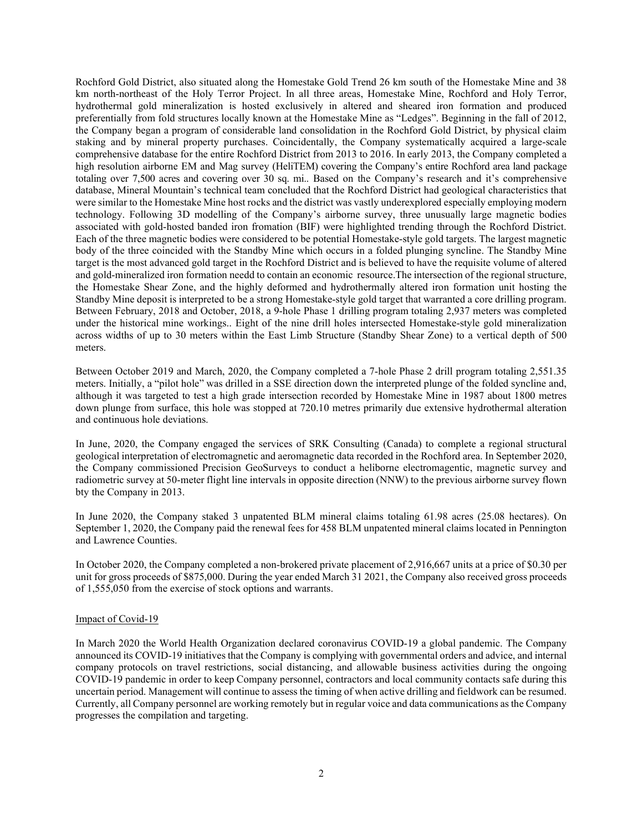Rochford Gold District, also situated along the Homestake Gold Trend 26 km south of the Homestake Mine and 38 km north-northeast of the Holy Terror Project. In all three areas, Homestake Mine, Rochford and Holy Terror, hydrothermal gold mineralization is hosted exclusively in altered and sheared iron formation and produced preferentially from fold structures locally known at the Homestake Mine as "Ledges". Beginning in the fall of 2012, the Company began a program of considerable land consolidation in the Rochford Gold District, by physical claim staking and by mineral property purchases. Coincidentally, the Company systematically acquired a large-scale comprehensive database for the entire Rochford District from 2013 to 2016. In early 2013, the Company completed a high resolution airborne EM and Mag survey (HeliTEM) covering the Company's entire Rochford area land package totaling over 7,500 acres and covering over 30 sq. mi.. Based on the Company's research and it's comprehensive database, Mineral Mountain's technical team concluded that the Rochford District had geological characteristics that were similar to the Homestake Mine host rocks and the district was vastly underexplored especially employing modern technology. Following 3D modelling of the Company's airborne survey, three unusually large magnetic bodies associated with gold-hosted banded iron fromation (BIF) were highlighted trending through the Rochford District. Each of the three magnetic bodies were considered to be potential Homestake-style gold targets. The largest magnetic body of the three coincided with the Standby Mine which occurs in a folded plunging syncline. The Standby Mine target is the most advanced gold target in the Rochford District and is believed to have the requisite volume of altered and gold-mineralized iron formation needd to contain an economic resource.The intersection of the regional structure, the Homestake Shear Zone, and the highly deformed and hydrothermally altered iron formation unit hosting the Standby Mine deposit is interpreted to be a strong Homestake-style gold target that warranted a core drilling program. Between February, 2018 and October, 2018, a 9-hole Phase 1 drilling program totaling 2,937 meters was completed under the historical mine workings.. Eight of the nine drill holes intersected Homestake-style gold mineralization across widths of up to 30 meters within the East Limb Structure (Standby Shear Zone) to a vertical depth of 500 meters.

Between October 2019 and March, 2020, the Company completed a 7-hole Phase 2 drill program totaling 2,551.35 meters. Initially, a "pilot hole" was drilled in a SSE direction down the interpreted plunge of the folded syncline and, although it was targeted to test a high grade intersection recorded by Homestake Mine in 1987 about 1800 metres down plunge from surface, this hole was stopped at 720.10 metres primarily due extensive hydrothermal alteration and continuous hole deviations.

In June, 2020, the Company engaged the services of SRK Consulting (Canada) to complete a regional structural geological interpretation of electromagnetic and aeromagnetic data recorded in the Rochford area. In September 2020, the Company commissioned Precision GeoSurveys to conduct a heliborne electromagentic, magnetic survey and radiometric survey at 50-meter flight line intervals in opposite direction (NNW) to the previous airborne survey flown bty the Company in 2013.

In June 2020, the Company staked 3 unpatented BLM mineral claims totaling 61.98 acres (25.08 hectares). On September 1, 2020, the Company paid the renewal fees for 458 BLM unpatented mineral claims located in Pennington and Lawrence Counties.

In October 2020, the Company completed a non-brokered private placement of 2,916,667 units at a price of \$0.30 per unit for gross proceeds of \$875,000. During the year ended March 31 2021, the Company also received gross proceeds of 1,555,050 from the exercise of stock options and warrants.

### Impact of Covid-19

In March 2020 the World Health Organization declared coronavirus COVID-19 a global pandemic. The Company announced its COVID-19 initiatives that the Company is complying with governmental orders and advice, and internal company protocols on travel restrictions, social distancing, and allowable business activities during the ongoing COVID-19 pandemic in order to keep Company personnel, contractors and local community contacts safe during this uncertain period. Management will continue to assess the timing of when active drilling and fieldwork can be resumed. Currently, all Company personnel are working remotely but in regular voice and data communications as the Company progresses the compilation and targeting.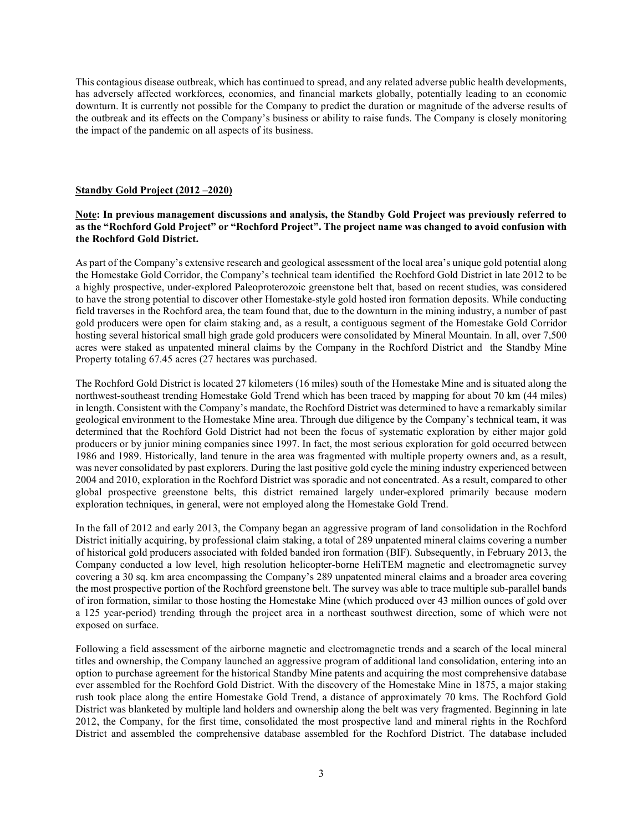This contagious disease outbreak, which has continued to spread, and any related adverse public health developments, has adversely affected workforces, economies, and financial markets globally, potentially leading to an economic downturn. It is currently not possible for the Company to predict the duration or magnitude of the adverse results of the outbreak and its effects on the Company's business or ability to raise funds. The Company is closely monitoring the impact of the pandemic on all aspects of its business.

# Standby Gold Project (2012 –2020)

# Note: In previous management discussions and analysis, the Standby Gold Project was previously referred to as the "Rochford Gold Project" or "Rochford Project". The project name was changed to avoid confusion with the Rochford Gold District.

As part of the Company's extensive research and geological assessment of the local area's unique gold potential along the Homestake Gold Corridor, the Company's technical team identified the Rochford Gold District in late 2012 to be a highly prospective, under-explored Paleoproterozoic greenstone belt that, based on recent studies, was considered to have the strong potential to discover other Homestake-style gold hosted iron formation deposits. While conducting field traverses in the Rochford area, the team found that, due to the downturn in the mining industry, a number of past gold producers were open for claim staking and, as a result, a contiguous segment of the Homestake Gold Corridor hosting several historical small high grade gold producers were consolidated by Mineral Mountain. In all, over 7,500 acres were staked as unpatented mineral claims by the Company in the Rochford District and the Standby Mine Property totaling 67.45 acres (27 hectares was purchased.

The Rochford Gold District is located 27 kilometers (16 miles) south of the Homestake Mine and is situated along the northwest-southeast trending Homestake Gold Trend which has been traced by mapping for about 70 km (44 miles) in length. Consistent with the Company's mandate, the Rochford District was determined to have a remarkably similar geological environment to the Homestake Mine area. Through due diligence by the Company's technical team, it was determined that the Rochford Gold District had not been the focus of systematic exploration by either major gold producers or by junior mining companies since 1997. In fact, the most serious exploration for gold occurred between 1986 and 1989. Historically, land tenure in the area was fragmented with multiple property owners and, as a result, was never consolidated by past explorers. During the last positive gold cycle the mining industry experienced between 2004 and 2010, exploration in the Rochford District was sporadic and not concentrated. As a result, compared to other global prospective greenstone belts, this district remained largely under-explored primarily because modern exploration techniques, in general, were not employed along the Homestake Gold Trend.

In the fall of 2012 and early 2013, the Company began an aggressive program of land consolidation in the Rochford District initially acquiring, by professional claim staking, a total of 289 unpatented mineral claims covering a number of historical gold producers associated with folded banded iron formation (BIF). Subsequently, in February 2013, the Company conducted a low level, high resolution helicopter-borne HeliTEM magnetic and electromagnetic survey covering a 30 sq. km area encompassing the Company's 289 unpatented mineral claims and a broader area covering the most prospective portion of the Rochford greenstone belt. The survey was able to trace multiple sub-parallel bands of iron formation, similar to those hosting the Homestake Mine (which produced over 43 million ounces of gold over a 125 year-period) trending through the project area in a northeast southwest direction, some of which were not exposed on surface.

Following a field assessment of the airborne magnetic and electromagnetic trends and a search of the local mineral titles and ownership, the Company launched an aggressive program of additional land consolidation, entering into an option to purchase agreement for the historical Standby Mine patents and acquiring the most comprehensive database ever assembled for the Rochford Gold District. With the discovery of the Homestake Mine in 1875, a major staking rush took place along the entire Homestake Gold Trend, a distance of approximately 70 kms. The Rochford Gold District was blanketed by multiple land holders and ownership along the belt was very fragmented. Beginning in late 2012, the Company, for the first time, consolidated the most prospective land and mineral rights in the Rochford District and assembled the comprehensive database assembled for the Rochford District. The database included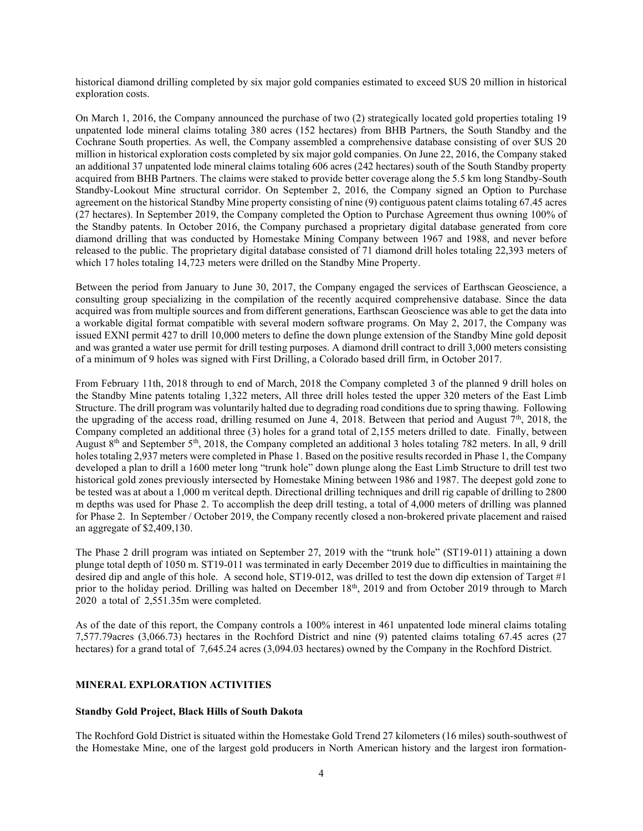historical diamond drilling completed by six major gold companies estimated to exceed \$US 20 million in historical exploration costs.

On March 1, 2016, the Company announced the purchase of two (2) strategically located gold properties totaling 19 unpatented lode mineral claims totaling 380 acres (152 hectares) from BHB Partners, the South Standby and the Cochrane South properties. As well, the Company assembled a comprehensive database consisting of over \$US 20 million in historical exploration costs completed by six major gold companies. On June 22, 2016, the Company staked an additional 37 unpatented lode mineral claims totaling 606 acres (242 hectares) south of the South Standby property acquired from BHB Partners. The claims were staked to provide better coverage along the 5.5 km long Standby-South Standby-Lookout Mine structural corridor. On September 2, 2016, the Company signed an Option to Purchase agreement on the historical Standby Mine property consisting of nine (9) contiguous patent claims totaling 67.45 acres (27 hectares). In September 2019, the Company completed the Option to Purchase Agreement thus owning 100% of the Standby patents. In October 2016, the Company purchased a proprietary digital database generated from core diamond drilling that was conducted by Homestake Mining Company between 1967 and 1988, and never before released to the public. The proprietary digital database consisted of 71 diamond drill holes totaling 22,393 meters of which 17 holes totaling 14,723 meters were drilled on the Standby Mine Property.

Between the period from January to June 30, 2017, the Company engaged the services of Earthscan Geoscience, a consulting group specializing in the compilation of the recently acquired comprehensive database. Since the data acquired was from multiple sources and from different generations, Earthscan Geoscience was able to get the data into a workable digital format compatible with several modern software programs. On May 2, 2017, the Company was issued EXNI permit 427 to drill 10,000 meters to define the down plunge extension of the Standby Mine gold deposit and was granted a water use permit for drill testing purposes. A diamond drill contract to drill 3,000 meters consisting of a minimum of 9 holes was signed with First Drilling, a Colorado based drill firm, in October 2017.

From February 11th, 2018 through to end of March, 2018 the Company completed 3 of the planned 9 drill holes on the Standby Mine patents totaling 1,322 meters, All three drill holes tested the upper 320 meters of the East Limb Structure. The drill program was voluntarily halted due to degrading road conditions due to spring thawing. Following the upgrading of the access road, drilling resumed on June 4, 2018. Between that period and August  $7<sup>th</sup>$ , 2018, the Company completed an additional three (3) holes for a grand total of 2,155 meters drilled to date. Finally, between August 8<sup>th</sup> and September 5<sup>th</sup>, 2018, the Company completed an additional 3 holes totaling 782 meters. In all, 9 drill holes totaling 2,937 meters were completed in Phase 1. Based on the positive results recorded in Phase 1, the Company developed a plan to drill a 1600 meter long "trunk hole" down plunge along the East Limb Structure to drill test two historical gold zones previously intersected by Homestake Mining between 1986 and 1987. The deepest gold zone to be tested was at about a 1,000 m veritcal depth. Directional drilling techniques and drill rig capable of drilling to 2800 m depths was used for Phase 2. To accomplish the deep drill testing, a total of 4,000 meters of drilling was planned for Phase 2. In September / October 2019, the Company recently closed a non-brokered private placement and raised an aggregate of \$2,409,130.

The Phase 2 drill program was intiated on September 27, 2019 with the "trunk hole" (ST19-011) attaining a down plunge total depth of 1050 m. ST19-011 was terminated in early December 2019 due to difficulties in maintaining the desired dip and angle of this hole. A second hole, ST19-012, was drilled to test the down dip extension of Target #1 prior to the holiday period. Drilling was halted on December 18<sup>th</sup>, 2019 and from October 2019 through to March 2020 a total of 2,551.35m were completed.

As of the date of this report, the Company controls a 100% interest in 461 unpatented lode mineral claims totaling 7,577.79acres (3,066.73) hectares in the Rochford District and nine (9) patented claims totaling 67.45 acres (27 hectares) for a grand total of 7,645.24 acres (3,094.03 hectares) owned by the Company in the Rochford District.

# MINERAL EXPLORATION ACTIVITIES

### Standby Gold Project, Black Hills of South Dakota

The Rochford Gold District is situated within the Homestake Gold Trend 27 kilometers (16 miles) south-southwest of the Homestake Mine, one of the largest gold producers in North American history and the largest iron formation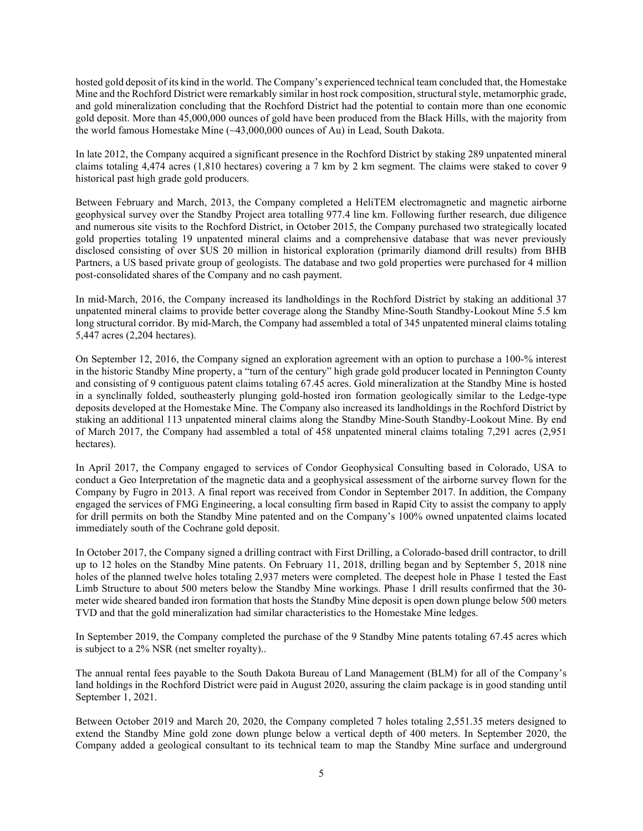hosted gold deposit of its kind in the world. The Company's experienced technical team concluded that, the Homestake Mine and the Rochford District were remarkably similar in host rock composition, structural style, metamorphic grade, and gold mineralization concluding that the Rochford District had the potential to contain more than one economic gold deposit. More than 45,000,000 ounces of gold have been produced from the Black Hills, with the majority from the world famous Homestake Mine (~43,000,000 ounces of Au) in Lead, South Dakota.

In late 2012, the Company acquired a significant presence in the Rochford District by staking 289 unpatented mineral claims totaling 4,474 acres (1,810 hectares) covering a 7 km by 2 km segment. The claims were staked to cover 9 historical past high grade gold producers.

Between February and March, 2013, the Company completed a HeliTEM electromagnetic and magnetic airborne geophysical survey over the Standby Project area totalling 977.4 line km. Following further research, due diligence and numerous site visits to the Rochford District, in October 2015, the Company purchased two strategically located gold properties totaling 19 unpatented mineral claims and a comprehensive database that was never previously disclosed consisting of over \$US 20 million in historical exploration (primarily diamond drill results) from BHB Partners, a US based private group of geologists. The database and two gold properties were purchased for 4 million post-consolidated shares of the Company and no cash payment.

In mid-March, 2016, the Company increased its landholdings in the Rochford District by staking an additional 37 unpatented mineral claims to provide better coverage along the Standby Mine-South Standby-Lookout Mine 5.5 km long structural corridor. By mid-March, the Company had assembled a total of 345 unpatented mineral claims totaling 5,447 acres (2,204 hectares).

On September 12, 2016, the Company signed an exploration agreement with an option to purchase a 100-% interest in the historic Standby Mine property, a "turn of the century" high grade gold producer located in Pennington County and consisting of 9 contiguous patent claims totaling 67.45 acres. Gold mineralization at the Standby Mine is hosted in a synclinally folded, southeasterly plunging gold-hosted iron formation geologically similar to the Ledge-type deposits developed at the Homestake Mine. The Company also increased its landholdings in the Rochford District by staking an additional 113 unpatented mineral claims along the Standby Mine-South Standby-Lookout Mine. By end of March 2017, the Company had assembled a total of 458 unpatented mineral claims totaling 7,291 acres (2,951 hectares).

In April 2017, the Company engaged to services of Condor Geophysical Consulting based in Colorado, USA to conduct a Geo Interpretation of the magnetic data and a geophysical assessment of the airborne survey flown for the Company by Fugro in 2013. A final report was received from Condor in September 2017. In addition, the Company engaged the services of FMG Engineering, a local consulting firm based in Rapid City to assist the company to apply for drill permits on both the Standby Mine patented and on the Company's 100% owned unpatented claims located immediately south of the Cochrane gold deposit.

In October 2017, the Company signed a drilling contract with First Drilling, a Colorado-based drill contractor, to drill up to 12 holes on the Standby Mine patents. On February 11, 2018, drilling began and by September 5, 2018 nine holes of the planned twelve holes totaling 2,937 meters were completed. The deepest hole in Phase 1 tested the East Limb Structure to about 500 meters below the Standby Mine workings. Phase 1 drill results confirmed that the 30 meter wide sheared banded iron formation that hosts the Standby Mine deposit is open down plunge below 500 meters TVD and that the gold mineralization had similar characteristics to the Homestake Mine ledges.

In September 2019, the Company completed the purchase of the 9 Standby Mine patents totaling 67.45 acres which is subject to a 2% NSR (net smelter royalty)..

The annual rental fees payable to the South Dakota Bureau of Land Management (BLM) for all of the Company's land holdings in the Rochford District were paid in August 2020, assuring the claim package is in good standing until September 1, 2021.

Between October 2019 and March 20, 2020, the Company completed 7 holes totaling 2,551.35 meters designed to extend the Standby Mine gold zone down plunge below a vertical depth of 400 meters. In September 2020, the Company added a geological consultant to its technical team to map the Standby Mine surface and underground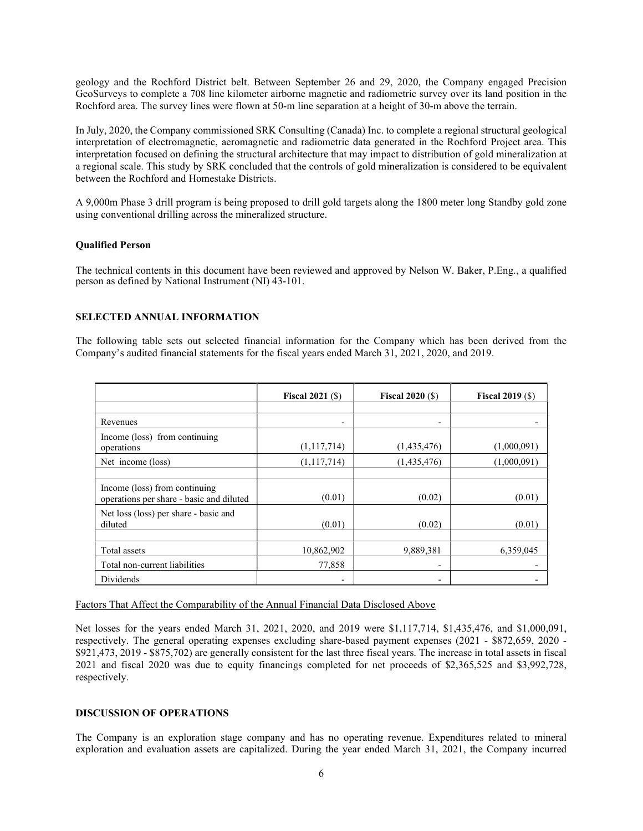geology and the Rochford District belt. Between September 26 and 29, 2020, the Company engaged Precision GeoSurveys to complete a 708 line kilometer airborne magnetic and radiometric survey over its land position in the Rochford area. The survey lines were flown at 50-m line separation at a height of 30-m above the terrain.

In July, 2020, the Company commissioned SRK Consulting (Canada) Inc. to complete a regional structural geological interpretation of electromagnetic, aeromagnetic and radiometric data generated in the Rochford Project area. This interpretation focused on defining the structural architecture that may impact to distribution of gold mineralization at a regional scale. This study by SRK concluded that the controls of gold mineralization is considered to be equivalent between the Rochford and Homestake Districts.

A 9,000m Phase 3 drill program is being proposed to drill gold targets along the 1800 meter long Standby gold zone using conventional drilling across the mineralized structure.

### Qualified Person

The technical contents in this document have been reviewed and approved by Nelson W. Baker, P.Eng., a qualified person as defined by National Instrument (NI) 43-101.

# SELECTED ANNUAL INFORMATION

The following table sets out selected financial information for the Company which has been derived from the Company's audited financial statements for the fiscal years ended March 31, 2021, 2020, and 2019.

|                                                                           | Fiscal $2021$ (\$)       | Fiscal $2020$ (\$) | Fiscal $2019($ S) |  |
|---------------------------------------------------------------------------|--------------------------|--------------------|-------------------|--|
|                                                                           |                          |                    |                   |  |
| Revenues                                                                  | $\overline{\phantom{a}}$ | ۰                  |                   |  |
| Income (loss) from continuing<br>operations                               | (1,117,714)              | (1,435,476)        | (1,000,091)       |  |
| Net income (loss)                                                         | (1,117,714)              | (1,435,476)        | (1,000,091)       |  |
|                                                                           |                          |                    |                   |  |
| Income (loss) from continuing<br>operations per share - basic and diluted | (0.01)                   | (0.02)             | (0.01)            |  |
| Net loss (loss) per share - basic and<br>diluted                          | (0.01)                   | (0.02)             | (0.01)            |  |
| Total assets                                                              | 10,862,902               | 9,889,381          | 6,359,045         |  |
| Total non-current liabilities                                             | 77,858                   | ٠                  |                   |  |
| Dividends                                                                 | $\overline{\phantom{a}}$ |                    |                   |  |

Factors That Affect the Comparability of the Annual Financial Data Disclosed Above

Net losses for the years ended March 31, 2021, 2020, and 2019 were \$1,117,714, \$1,435,476, and \$1,000,091, respectively. The general operating expenses excluding share-based payment expenses (2021 - \$872,659, 2020 - \$921,473, 2019 - \$875,702) are generally consistent for the last three fiscal years. The increase in total assets in fiscal 2021 and fiscal 2020 was due to equity financings completed for net proceeds of \$2,365,525 and \$3,992,728, respectively.

# DISCUSSION OF OPERATIONS

The Company is an exploration stage company and has no operating revenue. Expenditures related to mineral exploration and evaluation assets are capitalized. During the year ended March 31, 2021, the Company incurred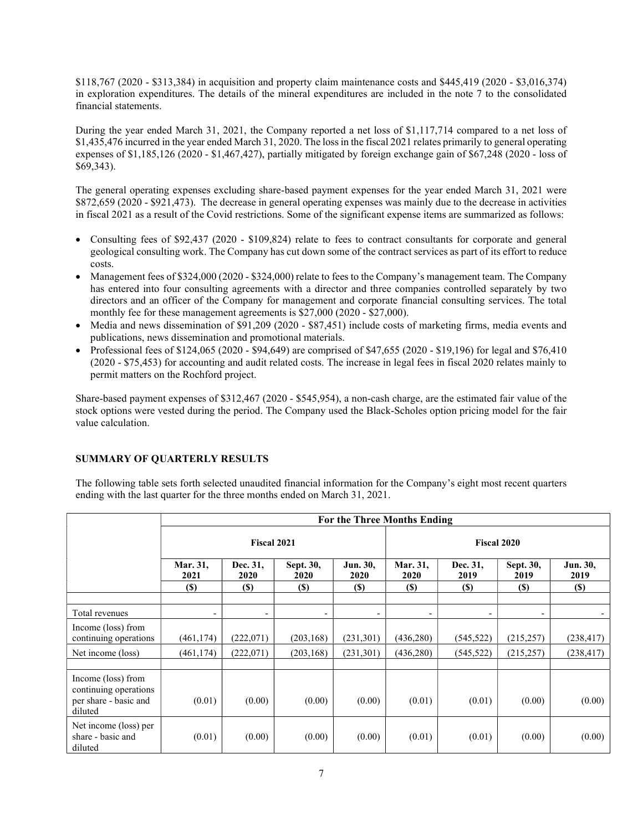\$118,767 (2020 - \$313,384) in acquisition and property claim maintenance costs and \$445,419 (2020 - \$3,016,374) in exploration expenditures. The details of the mineral expenditures are included in the note 7 to the consolidated financial statements.

During the year ended March 31, 2021, the Company reported a net loss of \$1,117,714 compared to a net loss of \$1,435,476 incurred in the year ended March 31, 2020. The loss in the fiscal 2021 relates primarily to general operating expenses of \$1,185,126 (2020 - \$1,467,427), partially mitigated by foreign exchange gain of \$67,248 (2020 - loss of \$69,343).

The general operating expenses excluding share-based payment expenses for the year ended March 31, 2021 were \$872,659 (2020 - \$921,473). The decrease in general operating expenses was mainly due to the decrease in activities in fiscal 2021 as a result of the Covid restrictions. Some of the significant expense items are summarized as follows:

- Consulting fees of \$92,437 (2020 \$109,824) relate to fees to contract consultants for corporate and general geological consulting work. The Company has cut down some of the contract services as part of its effort to reduce costs.
- Management fees of \$324,000 (2020 \$324,000) relate to fees to the Company's management team. The Company has entered into four consulting agreements with a director and three companies controlled separately by two directors and an officer of the Company for management and corporate financial consulting services. The total monthly fee for these management agreements is \$27,000 (2020 - \$27,000).
- Media and news dissemination of \$91,209 (2020 \$87,451) include costs of marketing firms, media events and publications, news dissemination and promotional materials.
- Professional fees of  $$124,065 (2020 $94,649)$  are comprised of  $$47,655 (2020 $19,196)$  for legal and  $$76,410$ (2020 - \$75,453) for accounting and audit related costs. The increase in legal fees in fiscal 2020 relates mainly to permit matters on the Rochford project.

Share-based payment expenses of \$312,467 (2020 - \$545,954), a non-cash charge, are the estimated fair value of the stock options were vested during the period. The Company used the Black-Scholes option pricing model for the fair value calculation.

# SUMMARY OF QUARTERLY RESULTS

The following table sets forth selected unaudited financial information for the Company's eight most recent quarters ending with the last quarter for the three months ended on March 31, 2021.

|                                                                                 | For the Three Months Ending |                          |                   |                    |                          |                  |                   |                  |
|---------------------------------------------------------------------------------|-----------------------------|--------------------------|-------------------|--------------------|--------------------------|------------------|-------------------|------------------|
|                                                                                 | <b>Fiscal 2021</b>          |                          |                   | <b>Fiscal 2020</b> |                          |                  |                   |                  |
|                                                                                 | Mar. 31,<br>2021            | Dec. 31,<br>2020         | Sept. 30,<br>2020 | Jun. 30,<br>2020   | Mar. 31,<br>2020         | Dec. 31,<br>2019 | Sept. 30,<br>2019 | Jun. 30,<br>2019 |
|                                                                                 | $(\$)$                      | <b>(\$)</b>              | <b>(\$)</b>       | <b>(\$)</b>        | <b>(\$)</b>              | <b>(S)</b>       | <b>(\$)</b>       | <b>(\$)</b>      |
| Total revenues                                                                  | ۰                           | $\overline{\phantom{a}}$ |                   |                    | $\overline{\phantom{a}}$ | ۰                |                   |                  |
| Income (loss) from<br>continuing operations                                     | (461, 174)                  | (222,071)                | (203, 168)        | (231,301)          | (436,280)                | (545, 522)       | (215, 257)        | (238, 417)       |
| Net income (loss)                                                               | (461, 174)                  | (222,071)                | (203, 168)        | (231, 301)         | (436,280)                | (545, 522)       | (215, 257)        | (238, 417)       |
| Income (loss) from<br>continuing operations<br>per share - basic and<br>diluted | (0.01)                      | (0.00)                   | (0.00)            | (0.00)             | (0.01)                   | (0.01)           | (0.00)            | (0.00)           |
| Net income (loss) per<br>share - basic and<br>diluted                           | (0.01)                      | (0.00)                   | (0.00)            | (0.00)             | (0.01)                   | (0.01)           | (0.00)            | (0.00)           |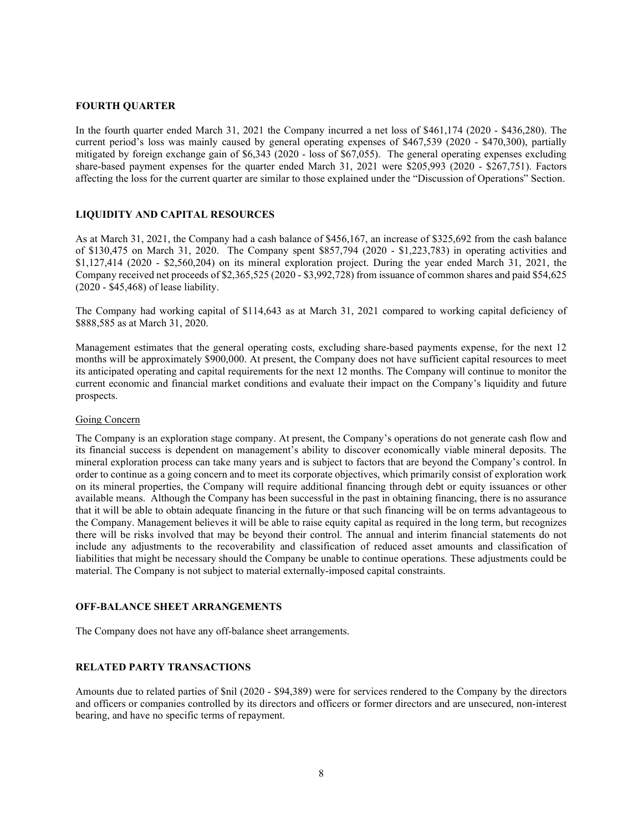### FOURTH QUARTER

In the fourth quarter ended March 31, 2021 the Company incurred a net loss of \$461,174 (2020 - \$436,280). The current period's loss was mainly caused by general operating expenses of \$467,539 (2020 - \$470,300), partially mitigated by foreign exchange gain of \$6,343 (2020 - loss of \$67,055). The general operating expenses excluding share-based payment expenses for the quarter ended March 31, 2021 were \$205,993 (2020 - \$267,751). Factors affecting the loss for the current quarter are similar to those explained under the "Discussion of Operations" Section.

### LIQUIDITY AND CAPITAL RESOURCES

As at March 31, 2021, the Company had a cash balance of \$456,167, an increase of \$325,692 from the cash balance of \$130,475 on March 31, 2020. The Company spent \$857,794 (2020 - \$1,223,783) in operating activities and \$1,127,414 (2020 - \$2,560,204) on its mineral exploration project. During the year ended March 31, 2021, the Company received net proceeds of \$2,365,525 (2020 - \$3,992,728) from issuance of common shares and paid \$54,625 (2020 - \$45,468) of lease liability.

The Company had working capital of \$114,643 as at March 31, 2021 compared to working capital deficiency of \$888,585 as at March 31, 2020.

Management estimates that the general operating costs, excluding share-based payments expense, for the next 12 months will be approximately \$900,000. At present, the Company does not have sufficient capital resources to meet its anticipated operating and capital requirements for the next 12 months. The Company will continue to monitor the current economic and financial market conditions and evaluate their impact on the Company's liquidity and future prospects.

#### Going Concern

The Company is an exploration stage company. At present, the Company's operations do not generate cash flow and its financial success is dependent on management's ability to discover economically viable mineral deposits. The mineral exploration process can take many years and is subject to factors that are beyond the Company's control. In order to continue as a going concern and to meet its corporate objectives, which primarily consist of exploration work on its mineral properties, the Company will require additional financing through debt or equity issuances or other available means. Although the Company has been successful in the past in obtaining financing, there is no assurance that it will be able to obtain adequate financing in the future or that such financing will be on terms advantageous to the Company. Management believes it will be able to raise equity capital as required in the long term, but recognizes there will be risks involved that may be beyond their control. The annual and interim financial statements do not include any adjustments to the recoverability and classification of reduced asset amounts and classification of liabilities that might be necessary should the Company be unable to continue operations. These adjustments could be material. The Company is not subject to material externally-imposed capital constraints.

#### OFF-BALANCE SHEET ARRANGEMENTS

The Company does not have any off-balance sheet arrangements.

#### RELATED PARTY TRANSACTIONS

Amounts due to related parties of \$nil (2020 - \$94,389) were for services rendered to the Company by the directors and officers or companies controlled by its directors and officers or former directors and are unsecured, non-interest bearing, and have no specific terms of repayment.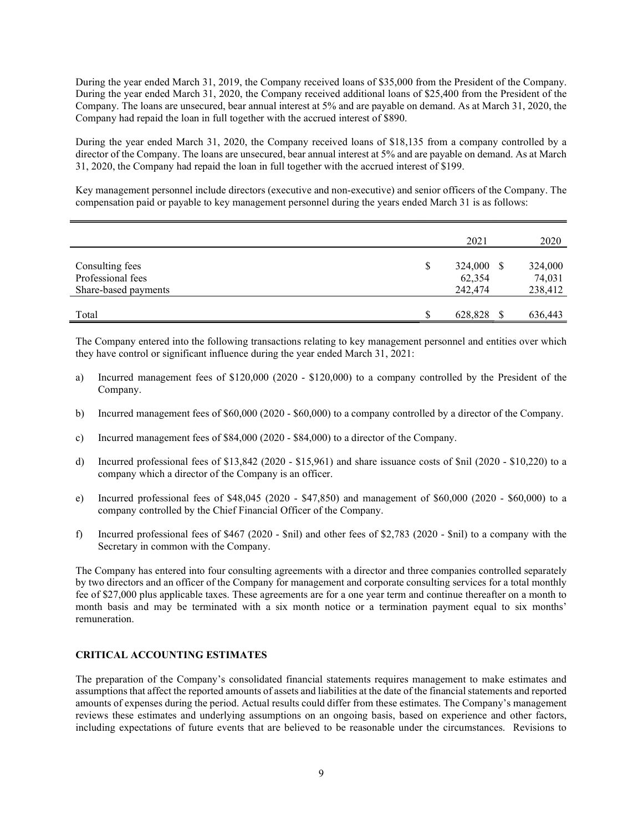During the year ended March 31, 2019, the Company received loans of \$35,000 from the President of the Company. During the year ended March 31, 2020, the Company received additional loans of \$25,400 from the President of the Company. The loans are unsecured, bear annual interest at 5% and are payable on demand. As at March 31, 2020, the Company had repaid the loan in full together with the accrued interest of \$890.

During the year ended March 31, 2020, the Company received loans of \$18,135 from a company controlled by a director of the Company. The loans are unsecured, bear annual interest at 5% and are payable on demand. As at March 31, 2020, the Company had repaid the loan in full together with the accrued interest of \$199.

Key management personnel include directors (executive and non-executive) and senior officers of the Company. The compensation paid or payable to key management personnel during the years ended March 31 is as follows:

|                                                              | 2021                                  | 2020                         |
|--------------------------------------------------------------|---------------------------------------|------------------------------|
| Consulting fees<br>Professional fees<br>Share-based payments | \$<br>324,000 \$<br>62,354<br>242,474 | 324,000<br>74,031<br>238,412 |
| Total                                                        | 628,828                               | 636,443                      |

The Company entered into the following transactions relating to key management personnel and entities over which they have control or significant influence during the year ended March 31, 2021:

- a) Incurred management fees of \$120,000 (2020 \$120,000) to a company controlled by the President of the Company.
- b) Incurred management fees of \$60,000 (2020 \$60,000) to a company controlled by a director of the Company.
- c) Incurred management fees of \$84,000 (2020 \$84,000) to a director of the Company.
- d) Incurred professional fees of \$13,842 (2020 \$15,961) and share issuance costs of \$nil (2020 \$10,220) to a company which a director of the Company is an officer.
- e) Incurred professional fees of \$48,045 (2020 \$47,850) and management of \$60,000 (2020 \$60,000) to a company controlled by the Chief Financial Officer of the Company.
- f) Incurred professional fees of \$467 (2020 \$nil) and other fees of \$2,783 (2020 \$nil) to a company with the Secretary in common with the Company.

The Company has entered into four consulting agreements with a director and three companies controlled separately by two directors and an officer of the Company for management and corporate consulting services for a total monthly fee of \$27,000 plus applicable taxes. These agreements are for a one year term and continue thereafter on a month to month basis and may be terminated with a six month notice or a termination payment equal to six months' remuneration.

# CRITICAL ACCOUNTING ESTIMATES

The preparation of the Company's consolidated financial statements requires management to make estimates and assumptions that affect the reported amounts of assets and liabilities at the date of the financial statements and reported amounts of expenses during the period. Actual results could differ from these estimates. The Company's management reviews these estimates and underlying assumptions on an ongoing basis, based on experience and other factors, including expectations of future events that are believed to be reasonable under the circumstances. Revisions to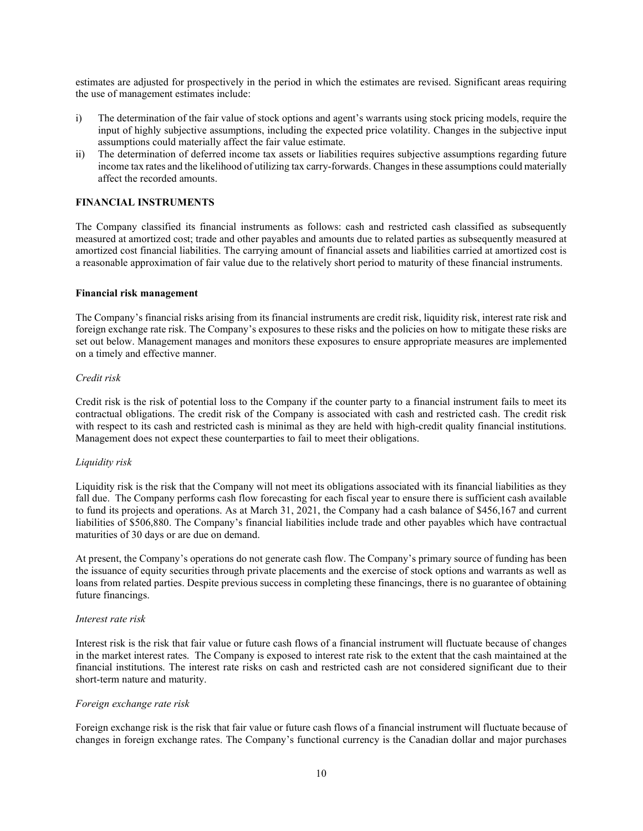estimates are adjusted for prospectively in the period in which the estimates are revised. Significant areas requiring the use of management estimates include:

- i) The determination of the fair value of stock options and agent's warrants using stock pricing models, require the input of highly subjective assumptions, including the expected price volatility. Changes in the subjective input assumptions could materially affect the fair value estimate.
- ii) The determination of deferred income tax assets or liabilities requires subjective assumptions regarding future income tax rates and the likelihood of utilizing tax carry-forwards. Changes in these assumptions could materially affect the recorded amounts.

# FINANCIAL INSTRUMENTS

The Company classified its financial instruments as follows: cash and restricted cash classified as subsequently measured at amortized cost; trade and other payables and amounts due to related parties as subsequently measured at amortized cost financial liabilities. The carrying amount of financial assets and liabilities carried at amortized cost is a reasonable approximation of fair value due to the relatively short period to maturity of these financial instruments.

#### Financial risk management

The Company's financial risks arising from its financial instruments are credit risk, liquidity risk, interest rate risk and foreign exchange rate risk. The Company's exposures to these risks and the policies on how to mitigate these risks are set out below. Management manages and monitors these exposures to ensure appropriate measures are implemented on a timely and effective manner.

#### Credit risk

Credit risk is the risk of potential loss to the Company if the counter party to a financial instrument fails to meet its contractual obligations. The credit risk of the Company is associated with cash and restricted cash. The credit risk with respect to its cash and restricted cash is minimal as they are held with high-credit quality financial institutions. Management does not expect these counterparties to fail to meet their obligations.

### Liquidity risk

Liquidity risk is the risk that the Company will not meet its obligations associated with its financial liabilities as they fall due. The Company performs cash flow forecasting for each fiscal year to ensure there is sufficient cash available to fund its projects and operations. As at March 31, 2021, the Company had a cash balance of \$456,167 and current liabilities of \$506,880. The Company's financial liabilities include trade and other payables which have contractual maturities of 30 days or are due on demand.

At present, the Company's operations do not generate cash flow. The Company's primary source of funding has been the issuance of equity securities through private placements and the exercise of stock options and warrants as well as loans from related parties. Despite previous success in completing these financings, there is no guarantee of obtaining future financings.

#### Interest rate risk

Interest risk is the risk that fair value or future cash flows of a financial instrument will fluctuate because of changes in the market interest rates. The Company is exposed to interest rate risk to the extent that the cash maintained at the financial institutions. The interest rate risks on cash and restricted cash are not considered significant due to their short-term nature and maturity.

### Foreign exchange rate risk

Foreign exchange risk is the risk that fair value or future cash flows of a financial instrument will fluctuate because of changes in foreign exchange rates. The Company's functional currency is the Canadian dollar and major purchases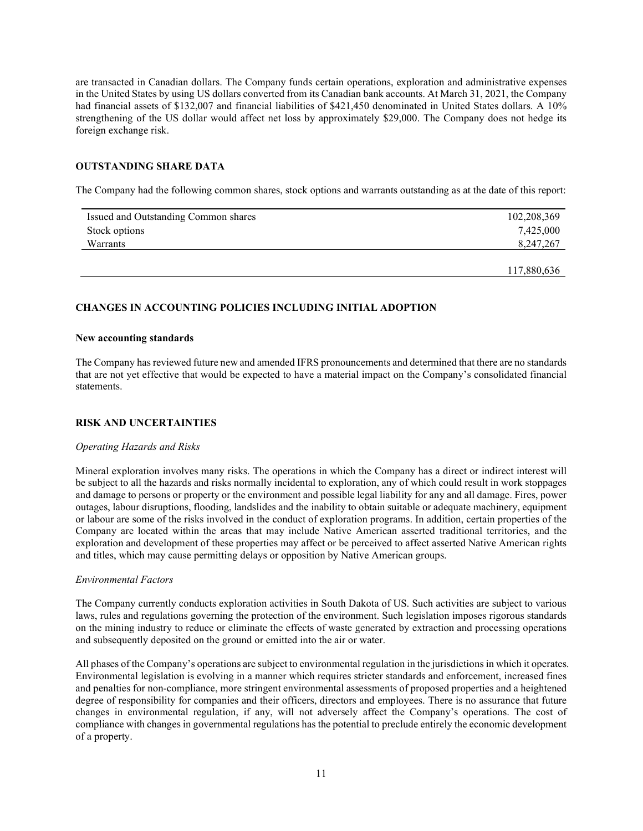are transacted in Canadian dollars. The Company funds certain operations, exploration and administrative expenses in the United States by using US dollars converted from its Canadian bank accounts. At March 31, 2021, the Company had financial assets of \$132,007 and financial liabilities of \$421,450 denominated in United States dollars. A 10% strengthening of the US dollar would affect net loss by approximately \$29,000. The Company does not hedge its foreign exchange risk.

# OUTSTANDING SHARE DATA

The Company had the following common shares, stock options and warrants outstanding as at the date of this report:

| Issued and Outstanding Common shares | 102,208,369 |
|--------------------------------------|-------------|
| Stock options                        | 7,425,000   |
| Warrants                             | 8,247,267   |
|                                      |             |
|                                      | 117,880,636 |

### CHANGES IN ACCOUNTING POLICIES INCLUDING INITIAL ADOPTION

#### New accounting standards

The Company has reviewed future new and amended IFRS pronouncements and determined that there are no standards that are not yet effective that would be expected to have a material impact on the Company's consolidated financial statements.

# RISK AND UNCERTAINTIES

#### Operating Hazards and Risks

Mineral exploration involves many risks. The operations in which the Company has a direct or indirect interest will be subject to all the hazards and risks normally incidental to exploration, any of which could result in work stoppages and damage to persons or property or the environment and possible legal liability for any and all damage. Fires, power outages, labour disruptions, flooding, landslides and the inability to obtain suitable or adequate machinery, equipment or labour are some of the risks involved in the conduct of exploration programs. In addition, certain properties of the Company are located within the areas that may include Native American asserted traditional territories, and the exploration and development of these properties may affect or be perceived to affect asserted Native American rights and titles, which may cause permitting delays or opposition by Native American groups.

### Environmental Factors

The Company currently conducts exploration activities in South Dakota of US. Such activities are subject to various laws, rules and regulations governing the protection of the environment. Such legislation imposes rigorous standards on the mining industry to reduce or eliminate the effects of waste generated by extraction and processing operations and subsequently deposited on the ground or emitted into the air or water.

All phases of the Company's operations are subject to environmental regulation in the jurisdictions in which it operates. Environmental legislation is evolving in a manner which requires stricter standards and enforcement, increased fines and penalties for non-compliance, more stringent environmental assessments of proposed properties and a heightened degree of responsibility for companies and their officers, directors and employees. There is no assurance that future changes in environmental regulation, if any, will not adversely affect the Company's operations. The cost of compliance with changes in governmental regulations has the potential to preclude entirely the economic development of a property.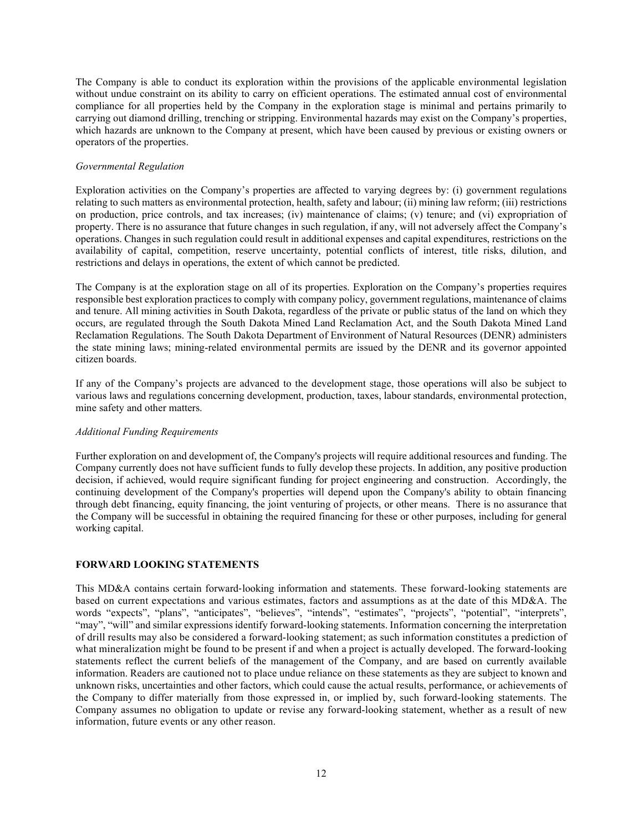The Company is able to conduct its exploration within the provisions of the applicable environmental legislation without undue constraint on its ability to carry on efficient operations. The estimated annual cost of environmental compliance for all properties held by the Company in the exploration stage is minimal and pertains primarily to carrying out diamond drilling, trenching or stripping. Environmental hazards may exist on the Company's properties, which hazards are unknown to the Company at present, which have been caused by previous or existing owners or operators of the properties.

### Governmental Regulation

Exploration activities on the Company's properties are affected to varying degrees by: (i) government regulations relating to such matters as environmental protection, health, safety and labour; (ii) mining law reform; (iii) restrictions on production, price controls, and tax increases; (iv) maintenance of claims; (v) tenure; and (vi) expropriation of property. There is no assurance that future changes in such regulation, if any, will not adversely affect the Company's operations. Changes in such regulation could result in additional expenses and capital expenditures, restrictions on the availability of capital, competition, reserve uncertainty, potential conflicts of interest, title risks, dilution, and restrictions and delays in operations, the extent of which cannot be predicted.

The Company is at the exploration stage on all of its properties. Exploration on the Company's properties requires responsible best exploration practices to comply with company policy, government regulations, maintenance of claims and tenure. All mining activities in South Dakota, regardless of the private or public status of the land on which they occurs, are regulated through the South Dakota Mined Land Reclamation Act, and the South Dakota Mined Land Reclamation Regulations. The South Dakota Department of Environment of Natural Resources (DENR) administers the state mining laws; mining-related environmental permits are issued by the DENR and its governor appointed citizen boards.

If any of the Company's projects are advanced to the development stage, those operations will also be subject to various laws and regulations concerning development, production, taxes, labour standards, environmental protection, mine safety and other matters.

# Additional Funding Requirements

Further exploration on and development of, the Company's projects will require additional resources and funding. The Company currently does not have sufficient funds to fully develop these projects. In addition, any positive production decision, if achieved, would require significant funding for project engineering and construction. Accordingly, the continuing development of the Company's properties will depend upon the Company's ability to obtain financing through debt financing, equity financing, the joint venturing of projects, or other means. There is no assurance that the Company will be successful in obtaining the required financing for these or other purposes, including for general working capital.

# FORWARD LOOKING STATEMENTS

This MD&A contains certain forward‐looking information and statements. These forward-looking statements are based on current expectations and various estimates, factors and assumptions as at the date of this MD&A. The words "expects", "plans", "anticipates", "believes", "intends", "estimates", "projects", "potential", "interprets", "may", "will" and similar expressions identify forward-looking statements. Information concerning the interpretation of drill results may also be considered a forward-looking statement; as such information constitutes a prediction of what mineralization might be found to be present if and when a project is actually developed. The forward-looking statements reflect the current beliefs of the management of the Company, and are based on currently available information. Readers are cautioned not to place undue reliance on these statements as they are subject to known and unknown risks, uncertainties and other factors, which could cause the actual results, performance, or achievements of the Company to differ materially from those expressed in, or implied by, such forward-looking statements. The Company assumes no obligation to update or revise any forward-looking statement, whether as a result of new information, future events or any other reason.